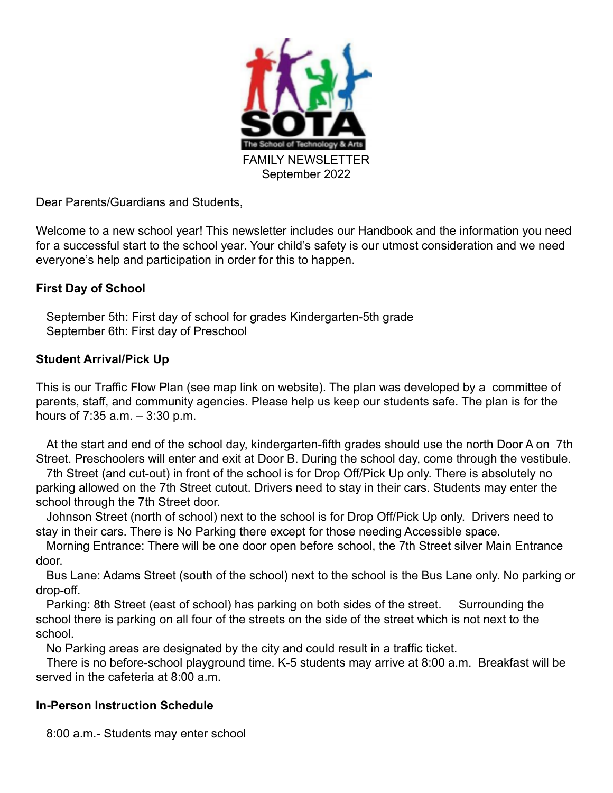

Dear Parents/Guardians and Students,

Welcome to a new school year! This newsletter includes our Handbook and the information you need for a successful start to the school year. Your child's safety is our utmost consideration and we need everyone's help and participation in order for this to happen.

## **First Day of School**

September 5th: First day of school for grades Kindergarten-5th grade September 6th: First day of Preschool

## **Student Arrival/Pick Up**

This is our Traffic Flow Plan (see map link on website). The plan was developed by a committee of parents, staff, and community agencies. Please help us keep our students safe. The plan is for the hours of 7:35 a.m. – 3:30 p.m.

At the start and end of the school day, kindergarten-fifth grades should use the north Door A on 7th Street. Preschoolers will enter and exit at Door B. During the school day, come through the vestibule.

7th Street (and cut-out) in front of the school is for Drop Off/Pick Up only. There is absolutely no parking allowed on the 7th Street cutout. Drivers need to stay in their cars. Students may enter the school through the 7th Street door.

Johnson Street (north of school) next to the school is for Drop Off/Pick Up only. Drivers need to stay in their cars. There is No Parking there except for those needing Accessible space.

Morning Entrance: There will be one door open before school, the 7th Street silver Main Entrance door.

Bus Lane: Adams Street (south of the school) next to the school is the Bus Lane only. No parking or drop-off.

Parking: 8th Street (east of school) has parking on both sides of the street. Surrounding the school there is parking on all four of the streets on the side of the street which is not next to the school.

No Parking areas are designated by the city and could result in a traffic ticket.

There is no before-school playground time. K-5 students may arrive at 8:00 a.m. Breakfast will be served in the cafeteria at 8:00 a.m.

### **In-Person Instruction Schedule**

8:00 a.m.- Students may enter school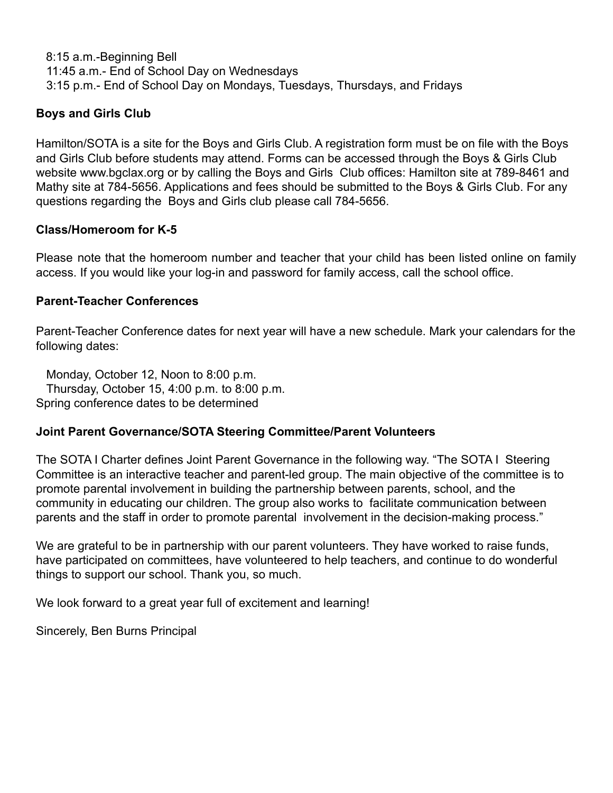8:15 a.m.-Beginning Bell 11:45 a.m.- End of School Day on Wednesdays 3:15 p.m.- End of School Day on Mondays, Tuesdays, Thursdays, and Fridays

# **Boys and Girls Club**

Hamilton/SOTA is a site for the Boys and Girls Club. A registration form must be on file with the Boys and Girls Club before students may attend. Forms can be accessed through the Boys & Girls Club website www.bgclax.org or by calling the Boys and Girls Club offices: Hamilton site at 789-8461 and Mathy site at 784-5656. Applications and fees should be submitted to the Boys & Girls Club. For any questions regarding the Boys and Girls club please call 784-5656.

## **Class/Homeroom for K-5**

Please note that the homeroom number and teacher that your child has been listed online on family access. If you would like your log-in and password for family access, call the school office.

### **Parent-Teacher Conferences**

Parent-Teacher Conference dates for next year will have a new schedule. Mark your calendars for the following dates:

Monday, October 12, Noon to 8:00 p.m. Thursday, October 15, 4:00 p.m. to 8:00 p.m. Spring conference dates to be determined

### **Joint Parent Governance/SOTA Steering Committee/Parent Volunteers**

The SOTA I Charter defines Joint Parent Governance in the following way. "The SOTA I Steering Committee is an interactive teacher and parent-led group. The main objective of the committee is to promote parental involvement in building the partnership between parents, school, and the community in educating our children. The group also works to facilitate communication between parents and the staff in order to promote parental involvement in the decision-making process."

We are grateful to be in partnership with our parent volunteers. They have worked to raise funds, have participated on committees, have volunteered to help teachers, and continue to do wonderful things to support our school. Thank you, so much.

We look forward to a great year full of excitement and learning!

Sincerely, Ben Burns Principal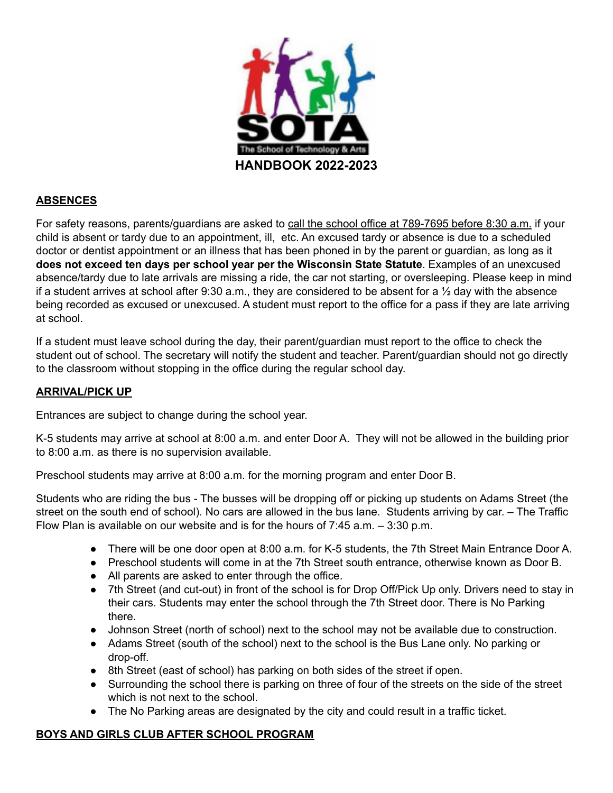

### **ABSENCES**

For safety reasons, parents/guardians are asked to call the school office at 789-7695 before 8:30 a.m. if your child is absent or tardy due to an appointment, ill, etc. An excused tardy or absence is due to a scheduled doctor or dentist appointment or an illness that has been phoned in by the parent or guardian, as long as it **does not exceed ten days per school year per the Wisconsin State Statute**. Examples of an unexcused absence/tardy due to late arrivals are missing a ride, the car not starting, or oversleeping. Please keep in mind if a student arrives at school after 9:30 a.m., they are considered to be absent for a  $\frac{1}{2}$  day with the absence being recorded as excused or unexcused. A student must report to the office for a pass if they are late arriving at school.

If a student must leave school during the day, their parent/guardian must report to the office to check the student out of school. The secretary will notify the student and teacher. Parent/guardian should not go directly to the classroom without stopping in the office during the regular school day.

### **ARRIVAL/PICK UP**

Entrances are subject to change during the school year.

K-5 students may arrive at school at 8:00 a.m. and enter Door A. They will not be allowed in the building prior to 8:00 a.m. as there is no supervision available.

Preschool students may arrive at 8:00 a.m. for the morning program and enter Door B.

Students who are riding the bus - The busses will be dropping off or picking up students on Adams Street (the street on the south end of school). No cars are allowed in the bus lane. Students arriving by car. – The Traffic Flow Plan is available on our website and is for the hours of 7:45 a.m. – 3:30 p.m.

- There will be one door open at 8:00 a.m. for K-5 students, the 7th Street Main Entrance Door A.
- Preschool students will come in at the 7th Street south entrance, otherwise known as Door B.
- All parents are asked to enter through the office.
- 7th Street (and cut-out) in front of the school is for Drop Off/Pick Up only. Drivers need to stay in their cars. Students may enter the school through the 7th Street door. There is No Parking there.
- Johnson Street (north of school) next to the school may not be available due to construction.
- Adams Street (south of the school) next to the school is the Bus Lane only. No parking or drop-off.
- 8th Street (east of school) has parking on both sides of the street if open.
- Surrounding the school there is parking on three of four of the streets on the side of the street which is not next to the school.
- The No Parking areas are designated by the city and could result in a traffic ticket.

### **BOYS AND GIRLS CLUB AFTER SCHOOL PROGRAM**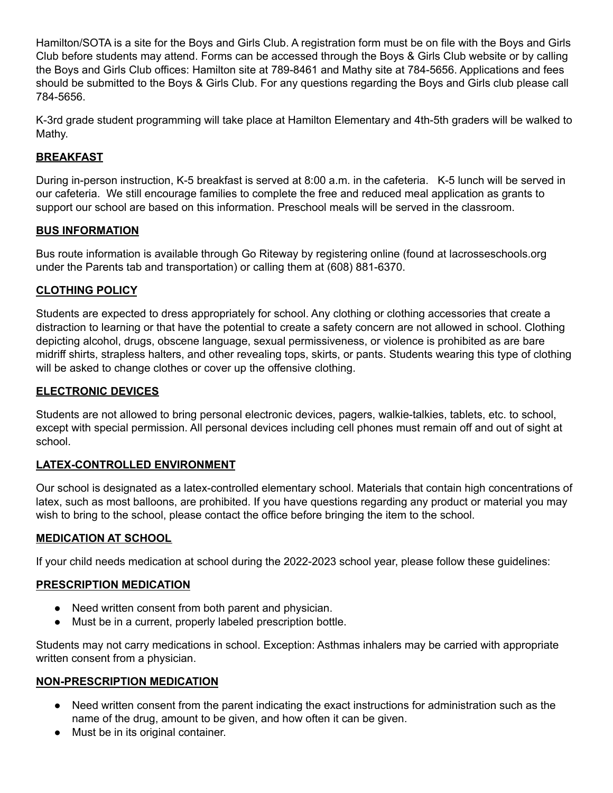Hamilton/SOTA is a site for the Boys and Girls Club. A registration form must be on file with the Boys and Girls Club before students may attend. Forms can be accessed through the Boys & Girls Club website or by calling the Boys and Girls Club offices: Hamilton site at 789-8461 and Mathy site at 784-5656. Applications and fees should be submitted to the Boys & Girls Club. For any questions regarding the Boys and Girls club please call 784-5656.

K-3rd grade student programming will take place at Hamilton Elementary and 4th-5th graders will be walked to Mathy.

# **BREAKFAST**

During in-person instruction, K-5 breakfast is served at 8:00 a.m. in the cafeteria. K-5 lunch will be served in our cafeteria. We still encourage families to complete the free and reduced meal application as grants to support our school are based on this information. Preschool meals will be served in the classroom.

### **BUS INFORMATION**

Bus route information is available through Go Riteway by registering online (found at lacrosseschools.org under the Parents tab and transportation) or calling them at (608) 881-6370.

### **CLOTHING POLICY**

Students are expected to dress appropriately for school. Any clothing or clothing accessories that create a distraction to learning or that have the potential to create a safety concern are not allowed in school. Clothing depicting alcohol, drugs, obscene language, sexual permissiveness, or violence is prohibited as are bare midriff shirts, strapless halters, and other revealing tops, skirts, or pants. Students wearing this type of clothing will be asked to change clothes or cover up the offensive clothing.

### **ELECTRONIC DEVICES**

Students are not allowed to bring personal electronic devices, pagers, walkie-talkies, tablets, etc. to school, except with special permission. All personal devices including cell phones must remain off and out of sight at school.

### **LATEX-CONTROLLED ENVIRONMENT**

Our school is designated as a latex-controlled elementary school. Materials that contain high concentrations of latex, such as most balloons, are prohibited. If you have questions regarding any product or material you may wish to bring to the school, please contact the office before bringing the item to the school.

#### **MEDICATION AT SCHOOL**

If your child needs medication at school during the 2022-2023 school year, please follow these guidelines:

### **PRESCRIPTION MEDICATION**

- Need written consent from both parent and physician.
- Must be in a current, properly labeled prescription bottle.

Students may not carry medications in school. Exception: Asthmas inhalers may be carried with appropriate written consent from a physician.

#### **NON-PRESCRIPTION MEDICATION**

- Need written consent from the parent indicating the exact instructions for administration such as the name of the drug, amount to be given, and how often it can be given.
- Must be in its original container.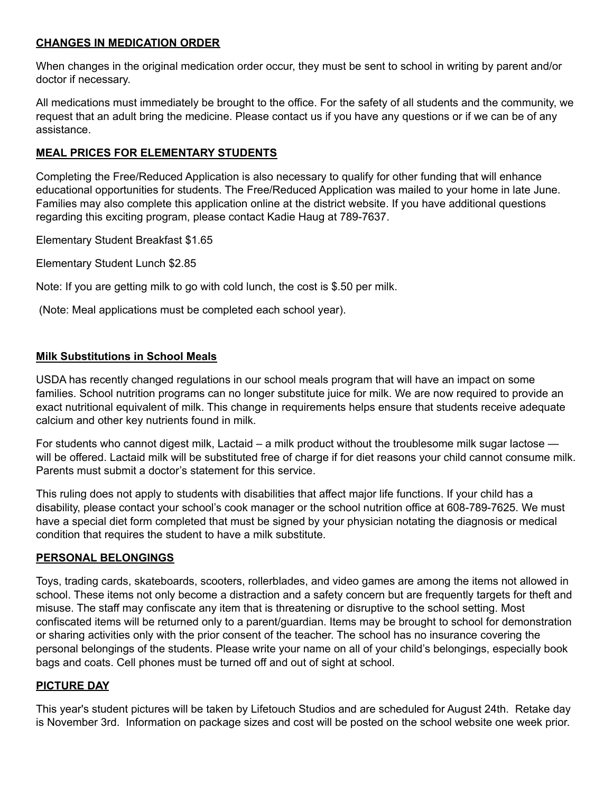#### **CHANGES IN MEDICATION ORDER**

When changes in the original medication order occur, they must be sent to school in writing by parent and/or doctor if necessary.

All medications must immediately be brought to the office. For the safety of all students and the community, we request that an adult bring the medicine. Please contact us if you have any questions or if we can be of any assistance.

### **MEAL PRICES FOR ELEMENTARY STUDENTS**

Completing the Free/Reduced Application is also necessary to qualify for other funding that will enhance educational opportunities for students. The Free/Reduced Application was mailed to your home in late June. Families may also complete this application online at the district website. If you have additional questions regarding this exciting program, please contact Kadie Haug at 789-7637.

Elementary Student Breakfast \$1.65

Elementary Student Lunch \$2.85

Note: If you are getting milk to go with cold lunch, the cost is \$.50 per milk.

(Note: Meal applications must be completed each school year).

### **Milk Substitutions in School Meals**

USDA has recently changed regulations in our school meals program that will have an impact on some families. School nutrition programs can no longer substitute juice for milk. We are now required to provide an exact nutritional equivalent of milk. This change in requirements helps ensure that students receive adequate calcium and other key nutrients found in milk.

For students who cannot digest milk, Lactaid – a milk product without the troublesome milk sugar lactose will be offered. Lactaid milk will be substituted free of charge if for diet reasons your child cannot consume milk. Parents must submit a doctor's statement for this service.

This ruling does not apply to students with disabilities that affect major life functions. If your child has a disability, please contact your school's cook manager or the school nutrition office at 608-789-7625. We must have a special diet form completed that must be signed by your physician notating the diagnosis or medical condition that requires the student to have a milk substitute.

### **PERSONAL BELONGINGS**

Toys, trading cards, skateboards, scooters, rollerblades, and video games are among the items not allowed in school. These items not only become a distraction and a safety concern but are frequently targets for theft and misuse. The staff may confiscate any item that is threatening or disruptive to the school setting. Most confiscated items will be returned only to a parent/guardian. Items may be brought to school for demonstration or sharing activities only with the prior consent of the teacher. The school has no insurance covering the personal belongings of the students. Please write your name on all of your child's belongings, especially book bags and coats. Cell phones must be turned off and out of sight at school.

### **PICTURE DAY**

This year's student pictures will be taken by Lifetouch Studios and are scheduled for August 24th. Retake day is November 3rd. Information on package sizes and cost will be posted on the school website one week prior.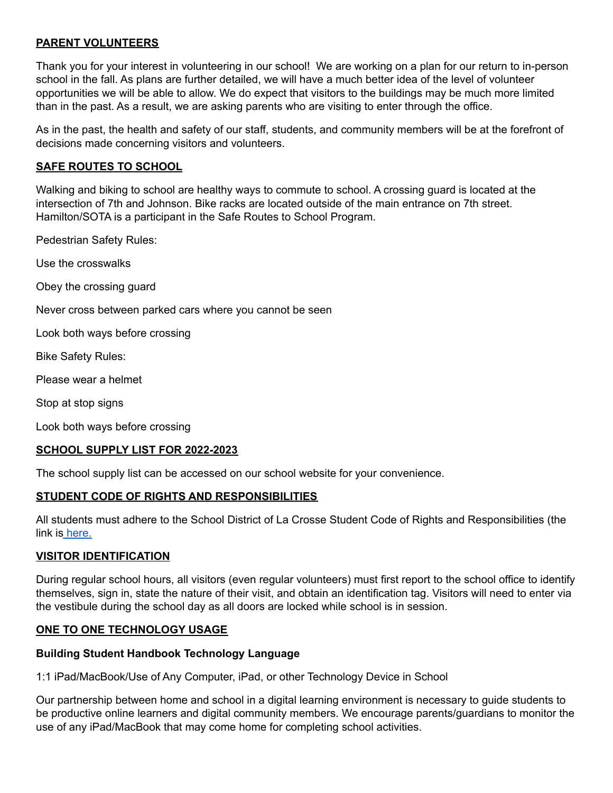### **PARENT VOLUNTEERS**

Thank you for your interest in volunteering in our school! We are working on a plan for our return to in-person school in the fall. As plans are further detailed, we will have a much better idea of the level of volunteer opportunities we will be able to allow. We do expect that visitors to the buildings may be much more limited than in the past. As a result, we are asking parents who are visiting to enter through the office.

As in the past, the health and safety of our staff, students, and community members will be at the forefront of decisions made concerning visitors and volunteers.

#### **SAFE ROUTES TO SCHOOL**

Walking and biking to school are healthy ways to commute to school. A crossing guard is located at the intersection of 7th and Johnson. Bike racks are located outside of the main entrance on 7th street. Hamilton/SOTA is a participant in the Safe Routes to School Program.

Pedestrian Safety Rules:

Use the crosswalks

Obey the crossing guard

Never cross between parked cars where you cannot be seen

Look both ways before crossing

Bike Safety Rules:

Please wear a helmet

Stop at stop signs

Look both ways before crossing

#### **SCHOOL SUPPLY LIST FOR 2022-2023**

The school supply list can be accessed on our school website for your convenience.

#### **STUDENT CODE OF RIGHTS AND RESPONSIBILITIES**

All students must adhere to the School District of La Crosse Student Code of Rights and Responsibilities (the link is [here.](https://www.lacrosseschools.org/2021-22-code-of-rights-and-responsibilities/)

#### **VISITOR IDENTIFICATION**

During regular school hours, all visitors (even regular volunteers) must first report to the school office to identify themselves, sign in, state the nature of their visit, and obtain an identification tag. Visitors will need to enter via the vestibule during the school day as all doors are locked while school is in session.

#### **ONE TO ONE TECHNOLOGY USAGE**

#### **Building Student Handbook Technology Language**

1:1 iPad/MacBook/Use of Any Computer, iPad, or other Technology Device in School

Our partnership between home and school in a digital learning environment is necessary to guide students to be productive online learners and digital community members. We encourage parents/guardians to monitor the use of any iPad/MacBook that may come home for completing school activities.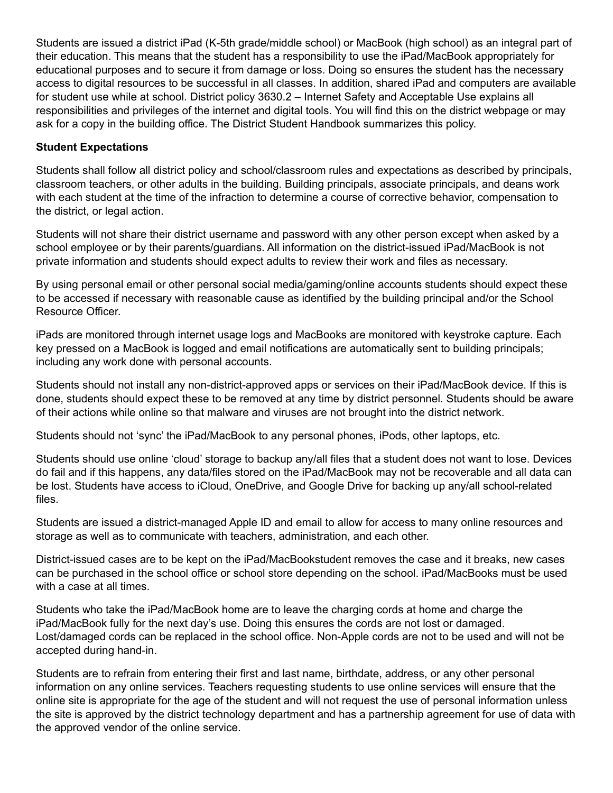Students are issued a district iPad (K-5th grade/middle school) or MacBook (high school) as an integral part of their education. This means that the student has a responsibility to use the iPad/MacBook appropriately for educational purposes and to secure it from damage or loss. Doing so ensures the student has the necessary access to digital resources to be successful in all classes. In addition, shared iPad and computers are available for student use while at school. District policy 3630.2 – Internet Safety and Acceptable Use explains all responsibilities and privileges of the internet and digital tools. You will find this on the district webpage or may ask for a copy in the building office. The District Student Handbook summarizes this policy.

### **Student Expectations**

Students shall follow all district policy and school/classroom rules and expectations as described by principals, classroom teachers, or other adults in the building. Building principals, associate principals, and deans work with each student at the time of the infraction to determine a course of corrective behavior, compensation to the district, or legal action.

Students will not share their district username and password with any other person except when asked by a school employee or by their parents/guardians. All information on the district-issued iPad/MacBook is not private information and students should expect adults to review their work and files as necessary.

By using personal email or other personal social media/gaming/online accounts students should expect these to be accessed if necessary with reasonable cause as identified by the building principal and/or the School Resource Officer.

iPads are monitored through internet usage logs and MacBooks are monitored with keystroke capture. Each key pressed on a MacBook is logged and email notifications are automatically sent to building principals; including any work done with personal accounts.

Students should not install any non-district-approved apps or services on their iPad/MacBook device. If this is done, students should expect these to be removed at any time by district personnel. Students should be aware of their actions while online so that malware and viruses are not brought into the district network.

Students should not 'sync' the iPad/MacBook to any personal phones, iPods, other laptops, etc.

Students should use online 'cloud' storage to backup any/all files that a student does not want to lose. Devices do fail and if this happens, any data/files stored on the iPad/MacBook may not be recoverable and all data can be lost. Students have access to iCloud, OneDrive, and Google Drive for backing up any/all school-related files.

Students are issued a district-managed Apple ID and email to allow for access to many online resources and storage as well as to communicate with teachers, administration, and each other.

District-issued cases are to be kept on the iPad/MacBookstudent removes the case and it breaks, new cases can be purchased in the school office or school store depending on the school. iPad/MacBooks must be used with a case at all times.

Students who take the iPad/MacBook home are to leave the charging cords at home and charge the iPad/MacBook fully for the next day's use. Doing this ensures the cords are not lost or damaged. Lost/damaged cords can be replaced in the school office. Non-Apple cords are not to be used and will not be accepted during hand-in.

Students are to refrain from entering their first and last name, birthdate, address, or any other personal information on any online services. Teachers requesting students to use online services will ensure that the online site is appropriate for the age of the student and will not request the use of personal information unless the site is approved by the district technology department and has a partnership agreement for use of data with the approved vendor of the online service.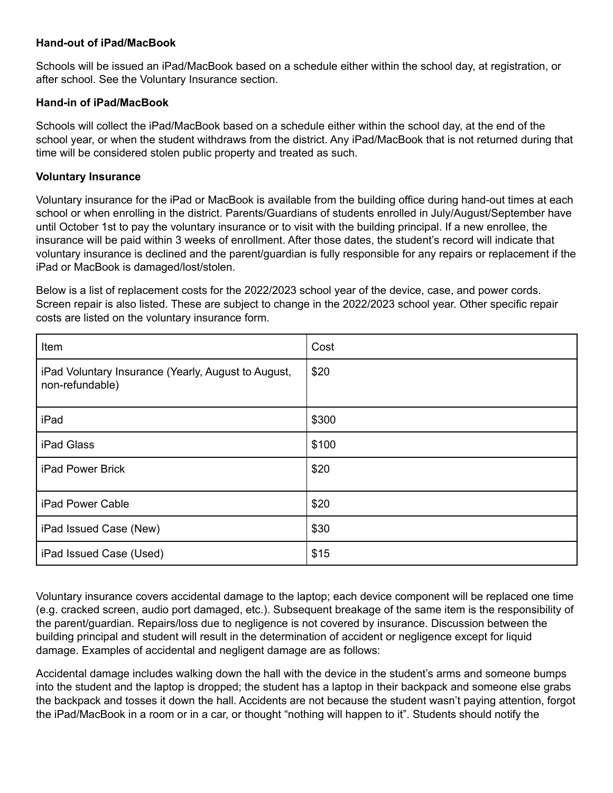#### **Hand-out of iPad/MacBook**

Schools will be issued an iPad/MacBook based on a schedule either within the school day, at registration, or after school. See the Voluntary Insurance section.

#### **Hand-in of iPad/MacBook**

Schools will collect the iPad/MacBook based on a schedule either within the school day, at the end of the school year, or when the student withdraws from the district. Any iPad/MacBook that is not returned during that time will be considered stolen public property and treated as such.

#### **Voluntary Insurance**

Voluntary insurance for the iPad or MacBook is available from the building office during hand-out times at each school or when enrolling in the district. Parents/Guardians of students enrolled in July/August/September have until October 1st to pay the voluntary insurance or to visit with the building principal. If a new enrollee, the insurance will be paid within 3 weeks of enrollment. After those dates, the student's record will indicate that voluntary insurance is declined and the parent/guardian is fully responsible for any repairs or replacement if the iPad or MacBook is damaged/lost/stolen.

Below is a list of replacement costs for the 2022/2023 school year of the device, case, and power cords. Screen repair is also listed. These are subject to change in the 2022/2023 school year. Other specific repair costs are listed on the voluntary insurance form.

| Item                                                                   | Cost  |
|------------------------------------------------------------------------|-------|
| iPad Voluntary Insurance (Yearly, August to August,<br>non-refundable) | \$20  |
| iPad                                                                   | \$300 |
| iPad Glass                                                             | \$100 |
| iPad Power Brick                                                       | \$20  |
| iPad Power Cable                                                       | \$20  |
| iPad Issued Case (New)                                                 | \$30  |
| iPad Issued Case (Used)                                                | \$15  |

Voluntary insurance covers accidental damage to the laptop; each device component will be replaced one time (e.g. cracked screen, audio port damaged, etc.). Subsequent breakage of the same item is the responsibility of the parent/guardian. Repairs/loss due to negligence is not covered by insurance. Discussion between the building principal and student will result in the determination of accident or negligence except for liquid damage. Examples of accidental and negligent damage are as follows:

Accidental damage includes walking down the hall with the device in the student's arms and someone bumps into the student and the laptop is dropped; the student has a laptop in their backpack and someone else grabs the backpack and tosses it down the hall. Accidents are not because the student wasn't paying attention, forgot the iPad/MacBook in a room or in a car, or thought "nothing will happen to it". Students should notify the